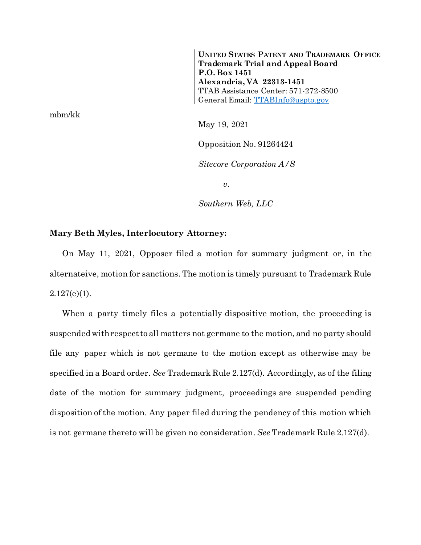**UNITED STATES PATENT AND TRADEMARK OFFICE Trademark Trial and Appeal Board P.O. Box 1451 Alexandria, VA 22313-1451** TTAB Assistance Center: 571-272-8500 General Email: [TTABInfo@uspto.gov](mailto:TTABInfo@uspto.gov)

mbm/kk

May 19, 2021

Opposition No. 91264424

*Sitecore Corporation A/S*

*v.*

*Southern Web, LLC*

## **Mary Beth Myles, Interlocutory Attorney:**

On May 11, 2021, Opposer filed a motion for summary judgment or, in the alternateive, motion for sanctions. The motion is timely pursuant to Trademark Rule  $2.127(e)(1)$ .

When a party timely files a potentially dispositive motion, the proceeding is suspended with respect to all matters not germane to the motion, and no party should file any paper which is not germane to the motion except as otherwise may be specified in a Board order. *See* Trademark Rule 2.127(d). Accordingly, as of the filing date of the motion for summary judgment, proceedings are suspended pending disposition of the motion. Any paper filed during the pendency of this motion which is not germane thereto will be given no consideration. *See* Trademark Rule 2.127(d).